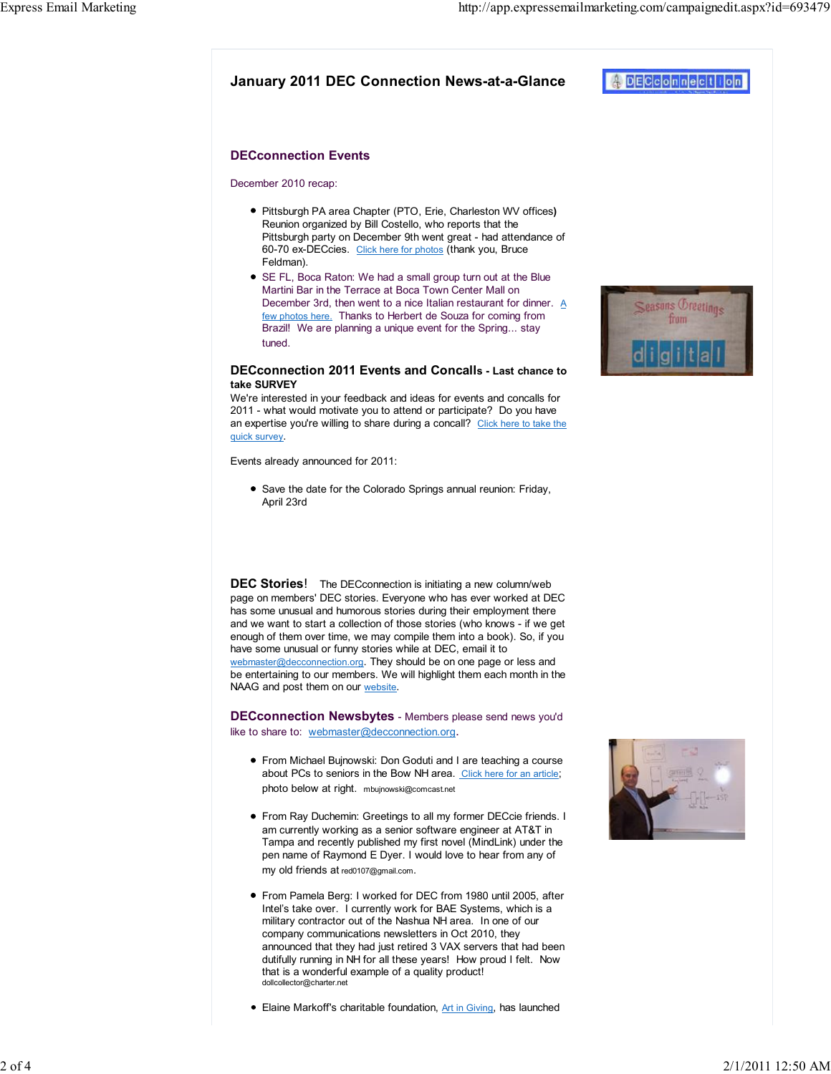$DEC$ connect

## DECconnection Events

#### December 2010 recap:

- Pittsburgh PA area Chapter (PTO, Erie, Charleston WV offices) Reunion organized by Bill Costello, who reports that the Pittsburgh party on December 9th went great - had attendance of 60-70 ex-DECcies. Click here for photos (thank you, Bruce Feldman).
- SE FL, Boca Raton: We had a small group turn out at the Blue Martini Bar in the Terrace at Boca Town Center Mall on December 3rd, then went to a nice Italian restaurant for dinner. A few photos here. Thanks to Herbert de Souza for coming from Brazil! We are planning a unique event for the Spring... stay tuned.

### DECconnection 2011 Events and Concalls - Last chance to take SURVEY

We're interested in your feedback and ideas for events and concalls for 2011 - what would motivate you to attend or participate? Do you have an expertise you're willing to share during a concall? Click here to take the quick survey.

Events already announced for 2011:

• Save the date for the Colorado Springs annual reunion: Friday, April 23rd

**DEC Stories!** The DECconnection is initiating a new column/web page on members' DEC stories. Everyone who has ever worked at DEC has some unusual and humorous stories during their employment there and we want to start a collection of those stories (who knows - if we get enough of them over time, we may compile them into a book). So, if you have some unusual or funny stories while at DEC, email it to webmaster@decconnection.org. They should be on one page or less and be entertaining to our members. We will highlight them each month in the NAAG and post them on our website.

DECconnection Newsbytes - Members please send news you'd like to share to: webmaster@decconnection.org.

- From Michael Bujnowski: Don Goduti and I are teaching a course about PCs to seniors in the Bow NH area. Click here for an article; photo below at right. mbujnowski@comcast.net
- From Ray Duchemin: Greetings to all my former DECcie friends. I am currently working as a senior software engineer at AT&T in Tampa and recently published my first novel (MindLink) under the pen name of Raymond E Dyer. I would love to hear from any of my old friends at red0107@gmail.com.
- From Pamela Berg: I worked for DEC from 1980 until 2005, after Intel's take over. I currently work for BAE Systems, which is a military contractor out of the Nashua NH area. In one of our company communications newsletters in Oct 2010, they announced that they had just retired 3 VAX servers that had been dutifully running in NH for all these years! How proud I felt. Now that is a wonderful example of a quality product! dollcollector@charter.net
- Elaine Markoff's charitable foundation, Art in Giving, has launched